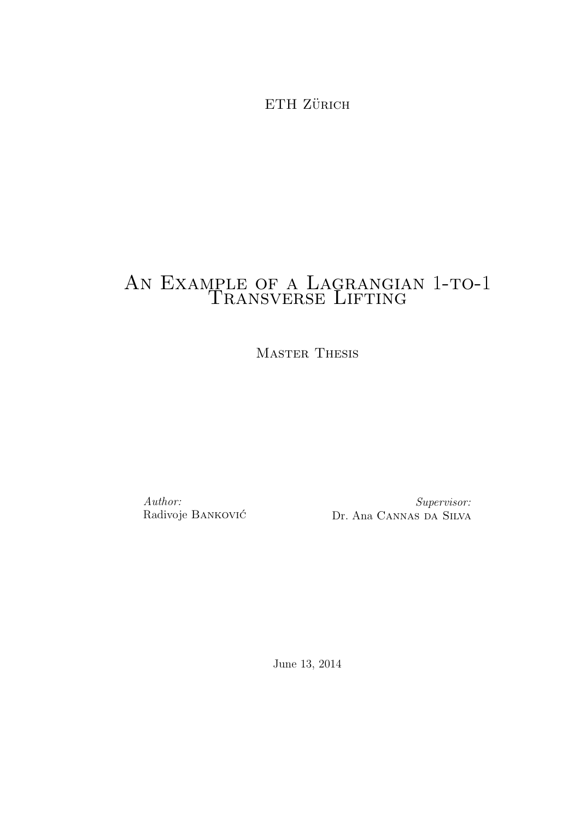ETH ZÜRICH

# AN EXAMPLE OF A LAGRANGIAN 1-TO-1 TRANSVERSE LIFTING

Master Thesis

Author: Radivoje BANKOVIĆ

Supervisor: Dr. Ana Cannas da Silva

June 13, 2014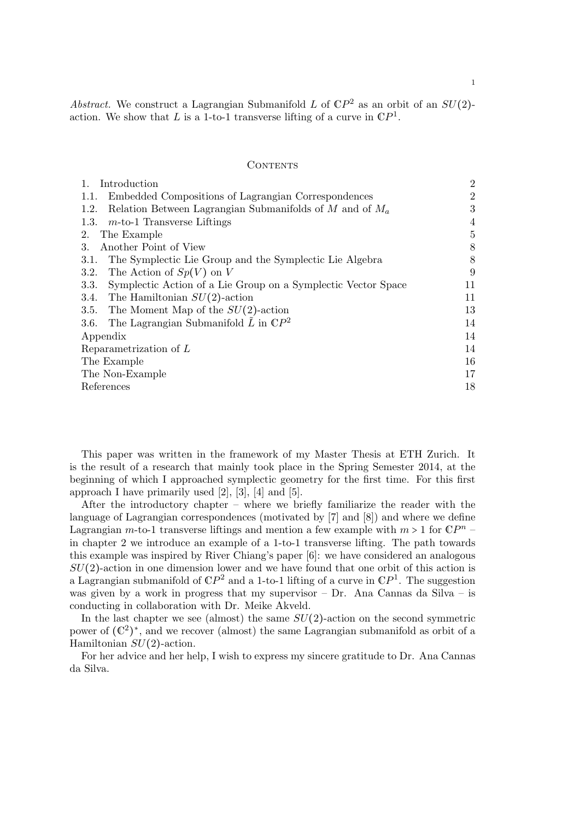# **CONTENTS**

| Introduction<br>1.                                                    | $\overline{2}$ |
|-----------------------------------------------------------------------|----------------|
| Embedded Compositions of Lagrangian Correspondences<br>1.1.           | 2              |
| Relation Between Lagrangian Submanifolds of M and of $M_a$<br>1.2.    | 3              |
| $m$ -to-1 Transverse Liftings<br>1.3.                                 | 4              |
| The Example<br>2.                                                     | 5              |
| Another Point of View<br>3.                                           | 8              |
| The Symplectic Lie Group and the Symplectic Lie Algebra<br>3.1.       | 8              |
| The Action of $Sp(V)$ on V<br>3.2.                                    | 9              |
| Symplectic Action of a Lie Group on a Symplectic Vector Space<br>3.3. | 11             |
| 3.4. The Hamiltonian $SU(2)$ -action                                  | 11             |
| The Moment Map of the $SU(2)$ -action<br>3.5.                         | 13             |
| The Lagrangian Submanifold L in $\mathbb{C}P^2$<br>3.6.               | 14             |
| Appendix                                                              | 14             |
| Reparametrization of $L$                                              | 14             |
| The Example                                                           | 16             |
| The Non-Example                                                       | 17             |
| References                                                            | 18             |
|                                                                       |                |

This paper was written in the framework of my Master Thesis at ETH Zurich. It is the result of a research that mainly took place in the Spring Semester 2014, at the beginning of which I approached symplectic geometry for the first time. For this first approach I have primarily used  $[2]$ ,  $[3]$ ,  $[4]$  and  $[5]$ .

After the introductory chapter – where we briefly familiarize the reader with the language of Lagrangian correspondences (motivated by [7] and [8]) and where we define Lagrangian m-to-1 transverse liftings and mention a few example with  $m > 1$  for  $\mathbb{C}P^{n}$  -<br>in shapter 2 ms introduce an example of a 1 to 1 transverse lifting. The path terminal in chapter 2 we introduce an example of a 1-to-1 transverse lifting. The path towards this example was inspired by River Chiang's paper [6]: we have considered an analogous  $SU(2)$ -action in one dimension lower and we have found that one orbit of this action is a Lagrangian submanifold of  $\mathbb{C}P^2$  and a 1-to-1 lifting of a curve in  $\mathbb{C}P^1$ . The suggestion was given by a work in progress that my supervisor  $-$  Dr. Ana Cannas da Silva  $-$  is conducting in collaboration with Dr. Meike Akveld.

In the last chapter we see (almost) the same  $SU(2)$ -action on the second symmetric power of  $(\mathbb{C}^2)^*$ , and we recover (almost) the same Lagrangian submanifold as orbit of a<br>Hamiltonian  $SU(2)$  estimates  $\frac{1}{2}$  Hamiltonian  $SU(2)$ -action.

For her advice and her help, I wish to express my sincere gratitude to Dr. Ana Cannas da Silva.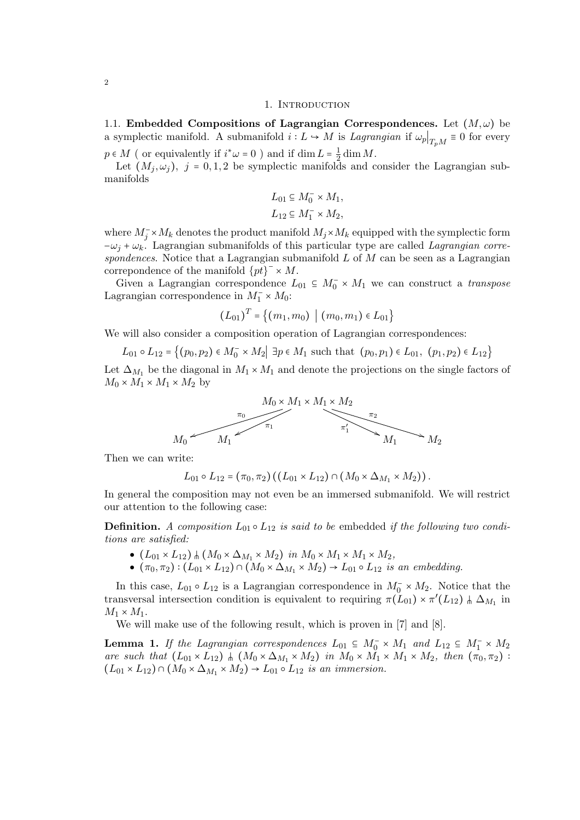### 1. Introduction

1.1. Embedded Compositions of Lagrangian Correspondences. Let  $(M, \omega)$  be a symplectic manifold. A submanifold  $i: L \to M$  is Lagrangian if  $\omega_p|_{T_pM} \equiv 0$  for every  $p \in M$  (or equivalently if  $i^* \omega = 0$ ) and if  $\dim L = \frac{1}{2}$ <br>
Let  $(M, \omega)$  is a lead of the arm platial manifold  $rac{1}{2}$  dim M.

Let  $(M_i, \omega_i)$ ,  $j = 0, 1, 2$  be symplectic manifolds and consider the Lagrangian submanifolds

$$
L_{01} \subseteq M_0^- \times M_1,
$$
  

$$
L_{12} \subseteq M_1^- \times M_2,
$$

where  $M_j^-\times M_k$  denotes the product manifold  $M_j\times M_k$  equipped with the symplectic form  $-\omega_i + \omega_k$ . Lagrangian submanifolds of this particular type are called *Lagrangian corre*spondences. Notice that a Lagrangian submanifold  $L$  of  $M$  can be seen as a Lagrangian correpondence of the manifold  $\{pt\}^{-} \times M$ .

Given a Lagrangian correspondence  $L_{01} \subseteq M_0^- \times M_1$  we can construct a *transpose* expression correspondence in  $M^- \cup M_1$ . Lagrangian correspondence in  $M_1^- \times M_0$ :

$$
(L_{01})^T = \{(m_1, m_0) \mid (m_0, m_1) \in L_{01}\}
$$

We will also consider a composition operation of Lagrangian correspondences:

 $L_{01} \circ L_{12} = \{(p_0, p_2) \in M_0^- \times M_2 | \exists p \in M_1 \text{ such that } (p_0, p_1) \in L_{01}, (p_1, p_2) \in L_{12}\}\$ 

Let  $\Delta_{M_1}$  be the diagonal in  $M_1 \times M_1$  and denote the projections on the single factors of  $M_0 \times M_1 \times M_1 \times M_2$  by



Then we can write:

$$
L_{01} \circ L_{12} = (\pi_0, \pi_2) ((L_{01} \times L_{12}) \cap (M_0 \times \Delta_{M_1} \times M_2)).
$$

In general the composition may not even be an immersed submanifold. We will restrict our attention to the following case:

**Definition.** A composition  $L_{01} \circ L_{12}$  is said to be embedded if the following two conditions are satisfied:

- $\bullet$   $(L_{01} \times L_{12})$   $\parallel$   $(M_0 \times \Delta_{M_1} \times M_2)$  in  $M_0 \times M_1 \times M_1 \times M_2$ ,
- $(\pi_0, \pi_2) : (L_{01} \times L_{12}) \cap (M_0 \times \Delta_{M_1} \times M_2) \to L_{01} \circ L_{12}$  is an embedding.

In this case,  $L_{01} \circ L_{12}$  is a Lagrangian correspondence in  $M_0^- \times M_2$ . Notice that the transversal intersection condition is equivalent to requiring  $\pi(L_{01}) \times \pi'(L_{12})$   $\# \Delta_{M_1}$  in  $M_1 \times M_1$ .

We will make use of the following result, which is proven in [7] and [8].

**Lemma 1.** If the Lagrangian correspondences  $L_{01} \subseteq M_0^- \times M_1$  and  $L_{12} \subseteq M_1^- \times M_2$ <br>can such that  $(L_1 \times L_2) + (M_2 \times \Lambda_1 \times M_2)$  in  $M_1 \times M_2 \times M_2 \times M_1$  than  $(L_1 - L_2)$ are such that  $(L_{01} \times L_{12})$   $\wedge$   $(M_0 \times \Delta_{M_1} \times M_2)$  in  $M_0 \times M_1 \times M_2$ , then  $(\pi_0, \pi_2)$ :  $(L_{01} \times L_{12}) \cap (M_0 \times \Delta_{M_1} \times M_2) \rightarrow L_{01} \circ L_{12}$  is an immersion.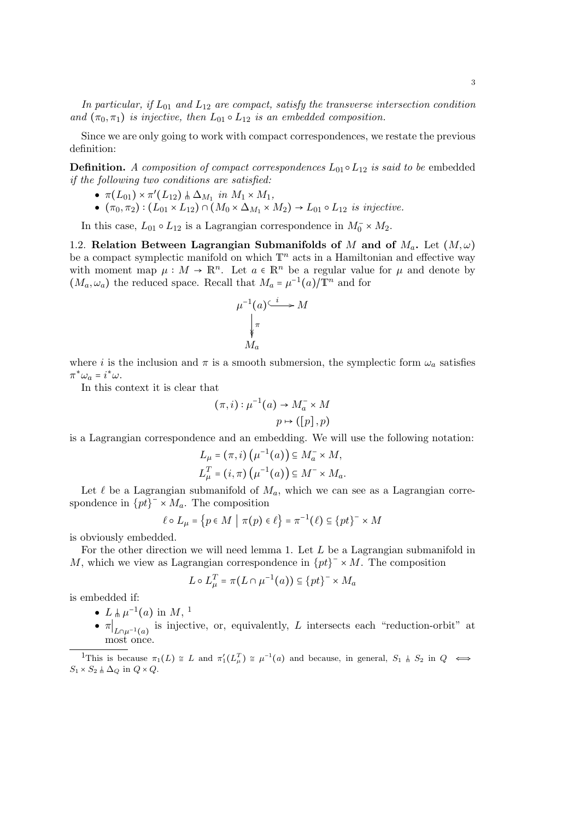In particular, if  $L_{01}$  and  $L_{12}$  are compact, satisfy the transverse intersection condition and  $(\pi_0, \pi_1)$  is injective, then  $L_{01} \circ L_{12}$  is an embedded composition.

Since we are only going to work with compact correspondences, we restate the previous definition:

**Definition.** A composition of compact correspondences  $L_{01} \circ L_{12}$  is said to be embedded if the following two conditions are satisfied:

- $\bullet \ \pi(L_{01}) \times \pi'(L_{12}) \parallel \Delta_{M_1} \text{ in } M_1 \times M_1,$
- $\bullet$   $(\pi_0, \pi_2) : (L_{01} \times L_{12}) \cap (M_0 \times \Delta_{M_1} \times M_2) \rightarrow L_{01} \circ L_{12}$  is injective.

In this case,  $L_{01} \circ L_{12}$  is a Lagrangian correspondence in  $M_0^- \times M_2$ .

1.2. Relation Between Lagrangian Submanifolds of M and of  $M_a$ . Let  $(M, \omega)$ be a compact symplectic manifold on which  $\mathbb{T}^n$  acts in a Hamiltonian and effective way with moment map  $\mu : M \to \mathbb{R}^n$ . Let  $a \in \mathbb{R}^n$  be a regular value for  $\mu$  and denote by  $(M_a, \omega_a)$  the reduced space. Recall that  $M_a = \mu^{-1}(a)/\mathbb{T}^n$  and for

$$
\mu^{-1}(a) \xrightarrow{\iota} M
$$

$$
\downarrow_{\pi}
$$

$$
M_a
$$

where i is the inclusion and  $\pi$  is a smooth submersion, the symplectic form  $\omega_a$  satisfies  $\pi^* \omega_a = i^* \omega.$ <br>In this set

In this context it is clear that

$$
(\pi, i) : \mu^{-1}(a) \to M_a^- \times M
$$

$$
p \mapsto ([p], p)
$$

is a Lagrangian correspondence and an embedding. We will use the following notation:

$$
L_{\mu} = (\pi, i) \left( \mu^{-1}(a) \right) \subseteq M_a^- \times M,
$$
  

$$
L_{\mu}^T = (i, \pi) \left( \mu^{-1}(a) \right) \subseteq M^- \times M_a.
$$

Let  $\ell$  be a Lagrangian submanifold of  $M_a$ , which we can see as a Lagrangian correspondence in  $\{pt\}^- \times M_a$ . The composition

$$
\ell \circ L_{\mu} = \{ p \in M \mid \pi(p) \in \ell \} = \pi^{-1}(\ell) \subseteq \{ pt \}^{-} \times M
$$

is obviously embedded.

For the other direction we will need lemma 1. Let  $L$  be a Lagrangian submanifold in M, which we view as Lagrangian correspondence in  $\{pt\}^- \times M$ . The composition

$$
L \circ L^T_{\mu} = \pi(L \cap \mu^{-1}(a)) \subseteq \{pt\}^{-} \times M_a
$$

is embedded if:

- $L \nightharpoonup \mu^{-1}(a)$  in  $M$ , <sup>1</sup>
- $\pi|_{L\cap\mu^{-1}(a)}$  is injective, or, equivalently, L intersects each "reduction-orbit" at most once.

<sup>&</sup>lt;sup>1</sup>This is because  $\pi_1(L) \cong L$  and  $\pi'_1(L^T_\mu) \cong \mu^{-1}(a)$  and because, in general,  $S_1 \uparrow S_2$  in  $Q \iff$  $S_1 \times S_2 \parallel \Delta_Q$  in  $Q \times Q$ .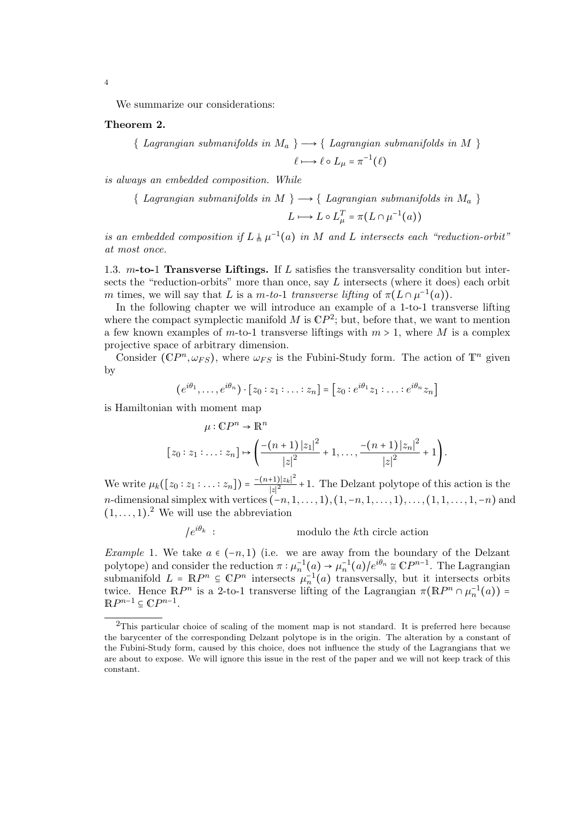We summarize our considerations:

# Theorem 2.

{ Lagrangian submanifolds in  $M_a$  }  $\longrightarrow$  { Lagrangian submanifolds in M }  $\ell \mapsto \ell \circ L_{\mu} = \pi^{-1}(\ell)$ 

is always an embedded composition. While

{ Lagrangian submanifolds in M }  $\longrightarrow$  { Lagrangian submanifolds in  $M_a$  }

$$
L \longmapsto L \circ L_{\mu}^{T} = \pi(L \cap \mu^{-1}(a))
$$

is an embedded composition if  $L \nvert \mu^{-1}(a)$  in M and L intersects each "reduction-orbit" at most once.

1.3.  $m$ -to-1 Transverse Liftings. If L satisfies the transversality condition but intersects the "reduction-orbits" more than once, say  $L$  intersects (where it does) each orbit m times, we will say that L is a m-to-1 transverse lifting of  $\pi(L \cap \mu^{-1}(a))$ .<br>
In the following chapter we will introduce an example of a 1 to 1 trans

In the following chapter we will introduce an example of a 1-to-1 transverse lifting where the compact symplectic manifold M is  $\mathbb{C}P^2$ ; but, before that, we want to mention a few known examples of m-to-1 transverse liftings with  $m > 1$ , where M is a complex projective space of arbitrary dimension.

Consider  $(\mathbb{C}P^n, \omega_{FS})$ , where  $\omega_{FS}$  is the Fubini-Study form. The action of  $\mathbb{T}^n$  given by

$$
(e^{i\theta_1}, \dots, e^{i\theta_n}) \cdot [z_0 : z_1 : \dots : z_n] = [z_0 : e^{i\theta_1} z_1 : \dots : e^{i\theta_n} z_n]
$$

is Hamiltonian with moment map

$$
\mu: \mathbb{C}P^{n} \to \mathbb{R}^{n}
$$
  

$$
[z_{0}:z_{1}:\ldots:z_{n}] \mapsto \left(\frac{-(n+1)|z_{1}|^{2}}{|z|^{2}}+1,\ldots,\frac{-(n+1)|z_{n}|^{2}}{|z|^{2}}+1\right).
$$

We write  $\mu_k([z_0:z_1:\ldots:z_n]) = \frac{-(n+1)|z_k|^2}{|z|^2}$  $|z|^2$  +1. The Delzant polytope of this action is the n-dimensional simplex with vertices  $(-n, 1, \ldots, 1), (1, -n, 1, \ldots, 1), \ldots, (1, 1, \ldots, 1, -n)$  and<br> $(1, -1)^2$ . We will use the ebbreviation  $(1, \ldots, 1)$ .<sup>2</sup> We will use the abbreviation

$$
/e^{i\theta_k} \t : \t \t modulo the kth circle action
$$

Example 1. We take  $a \in (-n, 1)$  (i.e. we are away from the boundary of the Delzant polytope) and consider the reduction  $\pi : \mu_n^{-1}(a) \to \mu_n^{-1}(a) / e^{i\theta_n} \cong \mathbb{C}P^{n-1}$ . The Lagrangian submanifold  $L = \mathbb{R}P^n \subseteq \mathbb{C}P^n$  intersects  $\mu_n^{-1}(a)$  transversally, but it intersects orbits twice. Hence  $\mathbb{R}P^n$  is a 2-to-1 transverse lifting of the Lagrangian  $\pi(\mathbb{R}P^n \cap \mu_n^{-1}(a)) =$ <br> $\mathbb{R}P^{n-1} \subset \mathbb{C}P^{n-1}$  $\mathbb{R}P^{n-1} \subseteq \mathbb{C}P^{n-1}.$ 

4

<sup>2</sup>This particular choice of scaling of the moment map is not standard. It is preferred here because the barycenter of the corresponding Delzant polytope is in the origin. The alteration by a constant of the Fubini-Study form, caused by this choice, does not influence the study of the Lagrangians that we are about to expose. We will ignore this issue in the rest of the paper and we will not keep track of this constant.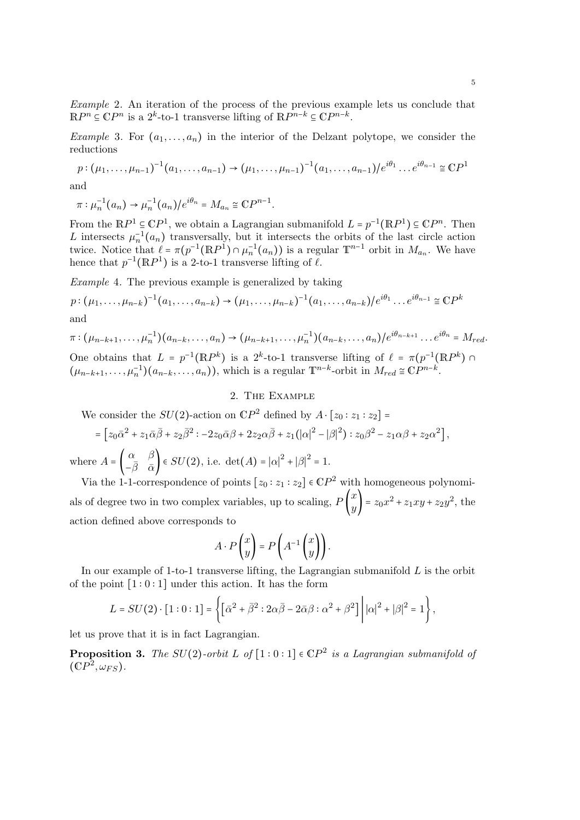Example 2. An iteration of the process of the previous example lets us conclude that  $\mathbb{R}P^n \subseteq \mathbb{C}P^n$  is a  $2^k$ -to-1 transverse lifting of  $\mathbb{R}P^{n-k} \subseteq \mathbb{C}P^{n-k}$ .

*Example* 3. For  $(a_1, \ldots, a_n)$  in the interior of the Delzant polytope, we consider the reductions

$$
p: (\mu_1, ..., \mu_{n-1})^{-1}(a_1, ..., a_{n-1}) \to (\mu_1, ..., \mu_{n-1})^{-1}(a_1, ..., a_{n-1})/e^{i\theta_1}...e^{i\theta_{n-1}} \cong \mathbb{C}P^1
$$
  
and

$$
\pi: \mu_n^{-1}(a_n) \to \mu_n^{-1}(a_n)/e^{i\theta_n} = M_{a_n} \cong \mathbb{C}P^{n-1}.
$$

From the  $\mathbb{R}P^1 \subseteq \mathbb{C}P^1$ , we obtain a Lagrangian submanifold  $L = p^{-1}(\mathbb{R}P^1) \subseteq \mathbb{C}P^n$ . Then L intersects  $\mu_n^{-1}(a_n)$  transversally, but it intersects the orbits of the last circle action<br>trains Notice that  $\ell = \tau(n^{-1}(\mathbb{R}^n)) \circ \mu_n^{-1}(\alpha)$  is a regular  $\mathbb{T}^{n-1}$  orbit in  $M$ . We have twice. Notice that  $\ell = \pi(p^{-1}(\mathbb{R}P^1) \cap \mu_n^{-1}(a_n))$  is a regular  $\mathbb{T}^{n-1}$  orbit in  $M_{a_n}$ . We have hence that  $p^{-1}(\mathbb{R}P^1)$  is a 2-to-1 transverse lifting of  $\ell$ .

Example 4. The previous example is generalized by taking

$$
p: (\mu_1, \dots, \mu_{n-k})^{-1}(a_1, \dots, a_{n-k}) \to (\mu_1, \dots, \mu_{n-k})^{-1}(a_1, \dots, a_{n-k})/e^{i\theta_1} \dots e^{i\theta_{n-1}} \cong \mathbb{C}P^k
$$

and

$$
\pi: (\mu_{n-k+1}, \dots, \mu_n^{-1})(a_{n-k}, \dots, a_n) \to (\mu_{n-k+1}, \dots, \mu_n^{-1})(a_{n-k}, \dots, a_n) / e^{i\theta_{n-k+1}} \dots e^{i\theta_n} = M_{red}.
$$
  
One obtains that  $L = p^{-1}(\mathbb{R}P^k)$  is a  $2^k$ -to-1 transverse lifting of  $\ell = \pi(p^{-1}(\mathbb{R}P^k) \cap$ 

 $(\mu_{n-k+1}, \ldots, \mu_n^{-1})(a_{n-k}, \ldots, a_n)),$  which is a regular  $\mathbb{T}^{n-k}$ -orbit in  $M_{red} \cong \mathbb{C}P^{n-k}$ .

# 2. The Example

We consider the  $SU(2)$ -action on  $\mathbb{C}P^2$  defined by  $A \cdot [z_0 : z_1 : z_2] =$ 

$$
= \left[z_0\bar{\alpha}^2 + z_1\bar{\alpha}\bar{\beta} + z_2\bar{\beta}^2 : -2z_0\bar{\alpha}\beta + 2z_2\alpha\bar{\beta} + z_1(|\alpha|^2 - |\beta|^2) : z_0\beta^2 - z_1\alpha\beta + z_2\alpha^2\right],
$$

where  $A = \begin{pmatrix} \alpha & \beta \\ -\bar{\beta} & \bar{\alpha} \end{pmatrix}$  $\left(\frac{\alpha}{\beta} - \frac{\beta}{\alpha}\right) \in SU(2)$ , i.e. det $(A) = |\alpha|^2 + |\beta|^2 = 1$ .

Via the 1-1-correspondence of points  $[z_0 : z_1 : z_2] \in \mathbb{C}P^2$  with homogeneous polynomials of degree two in two complex variables, up to scaling,  $P\begin{pmatrix} x \\ y \end{pmatrix}$  $\begin{pmatrix} x \\ y \end{pmatrix} = z_0 x^2 + z_1 xy + z_2 y^2$ , the action defined above corresponds to

$$
A \cdot P\begin{pmatrix} x \\ y \end{pmatrix} = P\left(A^{-1} \begin{pmatrix} x \\ y \end{pmatrix}\right).
$$

In our example of 1-to-1 transverse lifting, the Lagrangian submanifold  $L$  is the orbit of the point  $[1:0:1]$  under this action. It has the form

$$
L = SU(2) \cdot [1:0:1] = \left\{ \left[ \bar{\alpha}^2 + \bar{\beta}^2 : 2\alpha\bar{\beta} - 2\bar{\alpha}\beta : \alpha^2 + \beta^2 \right] \middle| |\alpha|^2 + |\beta|^2 = 1 \right\},\
$$

let us prove that it is in fact Lagrangian.

**Proposition 3.** The  $SU(2)$ -orbit L of  $[1:0:1] \in \mathbb{C}P^2$  is a Lagrangian submanifold of  $(\mathbb{C}P^2, \omega_{FS}).$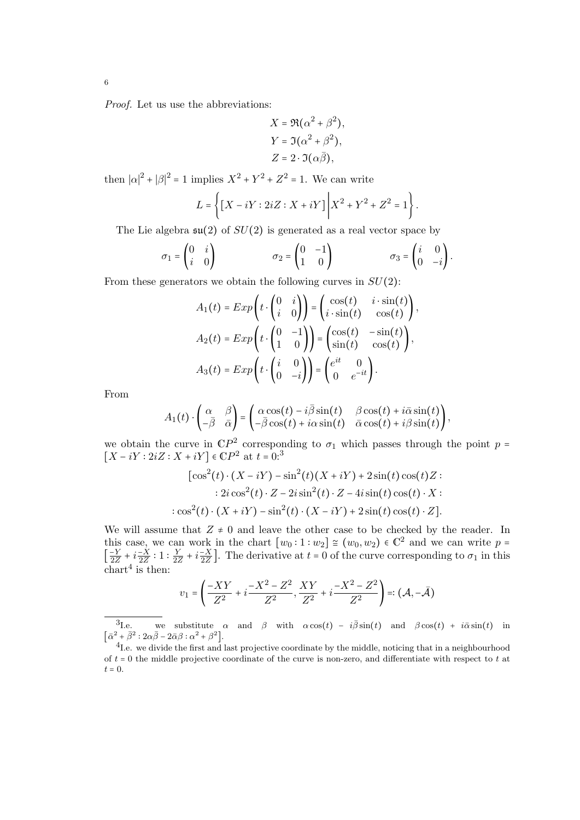Proof. Let us use the abbreviations:

$$
X = \Re(\alpha^2 + \beta^2),
$$
  
\n
$$
Y = \Im(\alpha^2 + \beta^2),
$$
  
\n
$$
Z = 2 \cdot \Im(\alpha \overline{\beta}),
$$

then  $|\alpha|^2 + |\beta|^2 = 1$  implies  $X^2 + Y^2 + Z^2 = 1$ . We can write

$$
L = \left\{ \left[ X - iY : 2iZ : X + iY \right] \middle| X^2 + Y^2 + Z^2 = 1 \right\}.
$$

The Lie algebra  $\mathfrak{su}(2)$  of  $SU(2)$  is generated as a real vector space by

$$
\sigma_1 = \begin{pmatrix} 0 & i \\ i & 0 \end{pmatrix} \qquad \qquad \sigma_2 = \begin{pmatrix} 0 & -1 \\ 1 & 0 \end{pmatrix} \qquad \qquad \sigma_3 = \begin{pmatrix} i & 0 \\ 0 & -i \end{pmatrix}.
$$

From these generators we obtain the following curves in  $SU(2)$ :

$$
A_1(t) = Exp\left(t \cdot \begin{pmatrix} 0 & i \\ i & 0 \end{pmatrix}\right) = \begin{pmatrix} cos(t) & i \cdot sin(t) \\ i \cdot sin(t) & cos(t) \end{pmatrix},
$$

$$
A_2(t) = Exp\left(t \cdot \begin{pmatrix} 0 & -1 \\ 1 & 0 \end{pmatrix}\right) = \begin{pmatrix} cos(t) & -sin(t) \\ sin(t) & cos(t) \end{pmatrix},
$$

$$
A_3(t) = Exp\left(t \cdot \begin{pmatrix} i & 0 \\ 0 & -i \end{pmatrix}\right) = \begin{pmatrix} e^{it} & 0 \\ 0 & e^{-it} \end{pmatrix}.
$$

From

$$
A_1(t) \cdot \begin{pmatrix} \alpha & \beta \\ -\overline{\beta} & \overline{\alpha} \end{pmatrix} = \begin{pmatrix} \alpha \cos(t) - i\overline{\beta}\sin(t) & \beta \cos(t) + i\overline{\alpha}\sin(t) \\ -\overline{\beta}\cos(t) + i\alpha\sin(t) & \overline{\alpha}\cos(t) + i\beta\sin(t) \end{pmatrix},
$$

we obtain the curve in  $\mathbb{C}P^2$  corresponding to  $\sigma_1$  which passes through the point  $p =$  $[X - iY : 2iZ : X + iY] \in \mathbb{C}P^2$  at  $t = 0:^3$ 

$$
[\cos^{2}(t)\cdot(X - iY) - \sin^{2}(t)(X + iY) + 2\sin(t)\cos(t)Z :\n: 2i\cos^{2}(t)\cdot Z - 2i\sin^{2}(t)\cdot Z - 4i\sin(t)\cos(t)\cdot X :\n: \cos^{2}(t)\cdot(X + iY) - \sin^{2}(t)\cdot(X - iY) + 2\sin(t)\cos(t)\cdot Z].
$$

We will assume that  $Z \neq 0$  and leave the other case to be checked by the reader. In this case, we can work in the chart  $[w_0:1:w_2] \cong (w_0,w_2) \in \mathbb{C}^2$  and we can write  $p =$  $\overline{a}$  $\frac{-Y}{2Z} + i\frac{-X}{2Z} : 1 : \frac{Y}{2Z}$  $\frac{Y}{2Z} + i\frac{-X}{2Z}$ . The derivative at  $t = 0$  of the curve corresponding to  $\sigma_1$  in this  $\text{chart}^4$  is then:

$$
v_1 = \left(\frac{-XY}{Z^2} + i\frac{-X^2 - Z^2}{Z^2}, \frac{XY}{Z^2} + i\frac{-X^2 - Z^2}{Z^2}\right) =: (\mathcal{A}, -\bar{\mathcal{A}})
$$

<sup>3</sup>I.e. we substitute  $\alpha$  and  $\beta$  with  $\alpha \cos(t) - i\overline{\beta} \sin(t)$  and  $\beta \cos(t) + i\overline{\alpha} \sin(t)$  in  $\left[ \bar{\alpha}^2 + \bar{\beta}^2 : 2\alpha\bar{\beta} - 2\bar{\alpha}\beta : \alpha^2 + \beta^2 \right].$ 

<sup>&</sup>lt;sup>4</sup>I.e. we divide the first and last projective coordinate by the middle, noticing that in a neighbourhood of  $t = 0$  the middle projective coordinate of the curve is non-zero, and differentiate with respect to t at  $t = 0$ .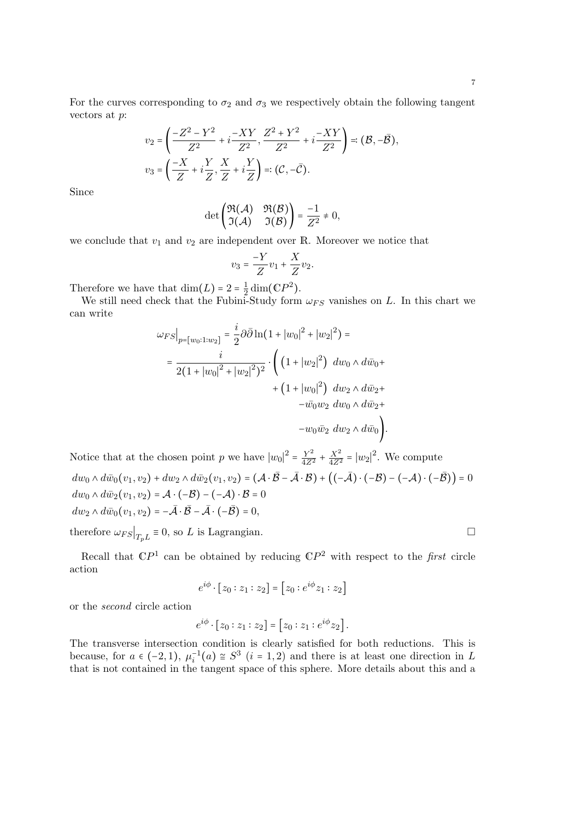For the curves corresponding to  $\sigma_2$  and  $\sigma_3$  we respectively obtain the following tangent vectors at p:

$$
v_2 = \left(\frac{-Z^2 - Y^2}{Z^2} + i\frac{-XY}{Z^2}, \frac{Z^2 + Y^2}{Z^2} + i\frac{-XY}{Z^2}\right) = (\mathcal{B}, -\bar{\mathcal{B}}),
$$
  

$$
v_3 = \left(\frac{-X}{Z} + i\frac{Y}{Z}, \frac{X}{Z} + i\frac{Y}{Z}\right) = (\mathcal{C}, -\bar{\mathcal{C}}).
$$

Since

$$
\det\begin{pmatrix} \Re(\mathcal{A}) & \Re(\mathcal{B}) \\ \Im(\mathcal{A}) & \Im(\mathcal{B}) \end{pmatrix} = \frac{-1}{Z^2} \neq 0,
$$

we conclude that  $v_1$  and  $v_2$  are independent over R. Moreover we notice that

$$
v_3 = \frac{-Y}{Z}v_1 + \frac{X}{Z}v_2.
$$

Therefore we have that  $\dim(L) = 2 = \frac{1}{2}$ <br>We still need shock that the Fully

herefore we have that  $\dim(L) = 2 = \frac{1}{2} \dim(\mathbb{C}P^2)$ .<br>We still need check that the Fubini-Study form  $\omega_{FS}$  vanishes on L. In this chart we can write

$$
\omega_{FS}|_{p=[w_0:1:w_2]} = \frac{i}{2}\partial\bar{\partial}\ln(1+|w_0|^2+|w_2|^2) =
$$
  

$$
= \frac{i}{2(1+|w_0|^2+|w_2|^2)^2} \cdot \left( (1+|w_2|^2) \, dw_0 \wedge d\bar{w}_0 + (1+|w_0|^2) \, dw_2 \wedge d\bar{w}_2 + (-\bar{w}_0w_2 \, dw_0 \wedge d\bar{w}_2 + (-\bar{w}_0w_2 \, dw_2 \wedge d\bar{w}_0) \right).
$$

Notice that at the chosen point p we have  $|w_0|^2$  $Y^2$  $\overline{4Z^2}$  T  $\frac{X^2}{4Z^2}$  =  $|w_2|^2$ . We compute  $dw_0 \wedge d\bar{w}_0(v_1, v_2) + dw_2 \wedge d\bar{w}_2(v_1, v_2) = (\mathcal{A} \cdot \mathcal{\bar{B}} - \bar{\mathcal{A}} \cdot \mathcal{B}) + ((-\bar{\mathcal{A}}) \cdot (-\mathcal{B}) - (-\mathcal{A}) \cdot (-\bar{\mathcal{B}})) = 0$  $dw_0 \wedge d\bar{w}_2(v_1, v_2) = \mathcal{A} \cdot (-\mathcal{B}) - (-\mathcal{A}) \cdot \mathcal{B} = 0$  $dw_2 \wedge d\bar{w}_0(v_1, v_2) = -\overline{\mathcal{A}} \cdot \overline{\mathcal{B}} - \overline{\mathcal{A}} \cdot (-\overline{\mathcal{B}}) = 0,$ 

therefore  $\omega_{FS}|_{T_pL} \equiv 0$ , so L is Lagrangian.

Recall that  $\mathbb{C}P^1$  can be obtained by reducing  $\mathbb{C}P^2$  with respect to the first circle action

$$
e^{i\phi} \cdot [z_0 : z_1 : z_2] = [z_0 : e^{i\phi} z_1 : z_2]
$$

or the second circle action

$$
e^{i\phi}\cdot [z_0:z_1:z_2] = [z_0:z_1:e^{i\phi}z_2].
$$

The transverse intersection condition is clearly satisfied for both reductions. This is because, for  $a \in (-2,1)$ ,  $\mu_i^{-1}(a) \cong S^3$   $(i = 1,2)$  and there is at least one direction in L that is not contained in the tangent space of this sphere. More details about this and a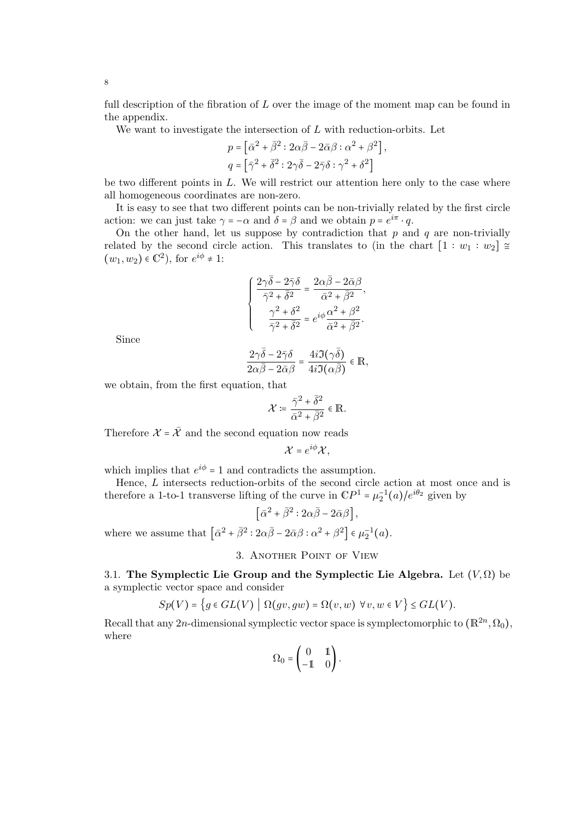full description of the fibration of L over the image of the moment map can be found in the appendix.

We want to investigate the intersection of  $L$  with reduction-orbits. Let

$$
p = \left[\bar{\alpha}^2 + \bar{\beta}^2 : 2\alpha\bar{\beta} - 2\bar{\alpha}\beta : \alpha^2 + \beta^2\right],
$$
  

$$
q = \left[\bar{\gamma}^2 + \bar{\delta}^2 : 2\gamma\bar{\delta} - 2\bar{\gamma}\delta : \gamma^2 + \delta^2\right]
$$

be two different points in  $L$ . We will restrict our attention here only to the case where all homogeneous coordinates are non-zero.

It is easy to see that two different points can be non-trivially related by the first circle action: we can just take  $\gamma = -\alpha$  and  $\delta = \beta$  and we obtain  $p = e^{i\pi} \cdot q$ .

On the other hand, let us suppose by contradiction that  $p$  and  $q$  are non-trivially related by the second circle action. This translates to (in the chart  $[1:w_1:w_2] \cong$  $(w_1, w_2) \in \mathbb{C}^2$ , for  $e^{i\phi} \neq 1$ :

$$
\left\{ \begin{array}{l} \displaystyle \frac{2\gamma\bar{\delta}-2\bar{\gamma}\delta}{\bar{\gamma}^2+\bar{\delta}^2}=\frac{2\alpha\bar{\beta}-2\bar{\alpha}\beta}{\bar{\alpha}^2+\bar{\beta}^2}, \\ \displaystyle \frac{\gamma^2+\delta^2}{\bar{\gamma}^2+\bar{\delta}^2}=e^{i\phi}\frac{\alpha^2+\beta^2}{\bar{\alpha}^2+\bar{\beta}^2}. \end{array} \right.
$$

Since

$$
\frac{2\gamma\bar{\delta}-2\bar{\gamma}\delta}{2\alpha\bar{\beta}-2\bar{\alpha}\beta}=\frac{4i\Im(\gamma\bar{\delta})}{4i\Im(\alpha\bar{\beta})}\in\mathbb{R},
$$

we obtain, from the first equation, that

$$
\mathcal{X} \coloneqq \frac{\bar{\gamma}^2 + \bar{\delta}^2}{\bar{\alpha}^2 + \bar{\beta}^2} \in \mathbb{R}.
$$

Therefore  $\mathcal{X} = \overline{\mathcal{X}}$  and the second equation now reads

$$
\mathcal{X}=e^{i\phi}\mathcal{X},
$$

which implies that  $e^{i\phi} = 1$  and contradicts the assumption.

Hence, L intersects reduction-orbits of the second circle action at most once and is therefore a 1-to-1 transverse lifting of the curve in  $\mathbb{C}P^1 = \mu_2^{-1}(a)/e^{i\theta_2}$  given by

$$
\left[\bar{\alpha}^2 + \bar{\beta}^2 : 2\alpha\bar{\beta} - 2\bar{\alpha}\beta\right],
$$

where we assume that  $\left[\bar{\alpha}^2 + \bar{\beta}^2 : 2\alpha\bar{\beta} - 2\bar{\alpha}\beta : \alpha^2 + \beta^2\right] \in \mu_2^{-1}(a)$ .

3. Another Point of View

3.1. The Symplectic Lie Group and the Symplectic Lie Algebra. Let  $(V, \Omega)$  be a symplectic vector space and consider

$$
Sp(V) = \left\{ g \in GL(V) \mid \Omega(gv, gw) = \Omega(v, w) \,\,\forall v, w \in V \right\} \le GL(V).
$$

Recall that any 2n-dimensional symplectic vector space is symplectomorphic to  $(\mathbb{R}^{2n}, \Omega_0)$ , where

$$
\Omega_0 = \begin{pmatrix} 0 & 1 \\ -1 & 0 \end{pmatrix}.
$$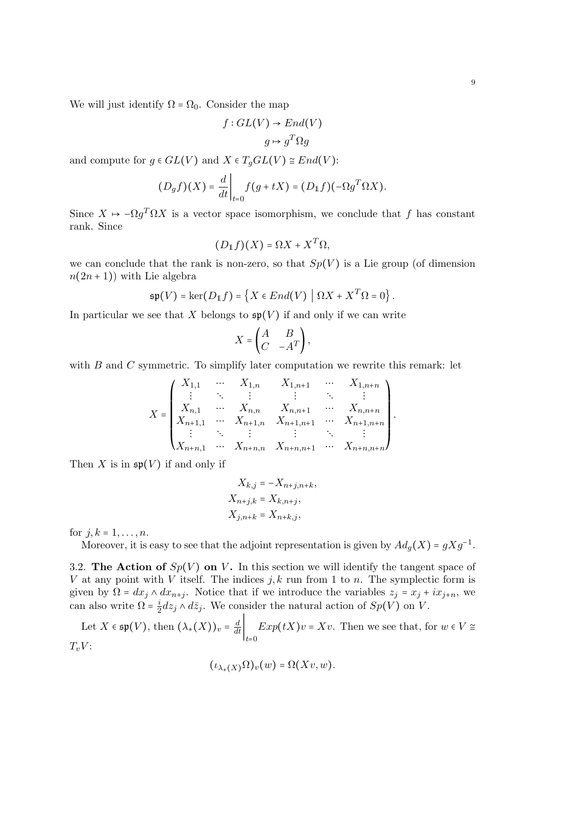We will just identify  $\Omega = \Omega_0$ . Consider the map

$$
f: GL(V) \to End(V)
$$

$$
g \mapsto g^T \Omega g
$$

and compute for  $g \in GL(V)$  and  $X \in T<sub>q</sub>GL(V) \cong End(V)$ :

$$
(D_g f)(X) = \frac{d}{dt}\bigg|_{t=0} f(g + tX) = (D_{\mathbb{1}}f)(-\Omega g^T \Omega X).
$$

Since  $X \mapsto -\Omega g^T \Omega X$  is a vector space isomorphism, we conclude that f has constant rank. Since

$$
(D_{\mathbb{1}}f)(X) = \Omega X + X^T \Omega,
$$

we can conclude that the rank is non-zero, so that  $Sp(V)$  is a Lie group (of dimension  $n(2n+1)$ ) with Lie algebra

$$
\mathfrak{sp}(V) = \ker(D_{\mathbb{1}}f) = \left\{ X \in End(V) \mid \Omega X + X^T \Omega = 0 \right\}.
$$

In particular we see that X belongs to  $\mathfrak{sp}(V)$  if and only if we can write

$$
X = \begin{pmatrix} A & B \\ C & -A^T \end{pmatrix},
$$

with  $B$  and  $C$  symmetric. To simplify later computation we rewrite this remark: let

$$
X = \begin{pmatrix} X_{1,1} & \cdots & X_{1,n} & X_{1,n+1} & \cdots & X_{1,n+n} \\ \vdots & \ddots & \vdots & & \vdots & \ddots & \vdots \\ X_{n,1} & \cdots & X_{n,n} & X_{n,n+1} & \cdots & X_{n,n+n} \\ X_{n+1,1} & \cdots & X_{n+1,n} & X_{n+1,n+1} & \cdots & X_{n+1,n+n} \\ \vdots & \ddots & \vdots & & \vdots & \ddots & \vdots \\ X_{n+n,1} & \cdots & X_{n+n,n} & X_{n+n,n+1} & \cdots & X_{n+n,n+n} \end{pmatrix}.
$$

Then X is in  $\mathfrak{sp}(V)$  if and only if

$$
X_{k,j} = -X_{n+j,n+k},
$$
  
\n
$$
X_{n+j,k} = X_{k,n+j},
$$
  
\n
$$
X_{j,n+k} = X_{n+k,j},
$$

for  $j, k = 1, ..., n$ .

Moreover, it is easy to see that the adjoint representation is given by  $Ad_g(X) = gXg^{-1}$ .

3.2. The Action of  $Sp(V)$  on V. In this section we will identify the tangent space of V at any point with V itself. The indices  $j, k$  run from 1 to n. The symplectic form is given by  $\Omega = dx_j \wedge dx_{n+j}$ . Notice that if we introduce the variables  $z_j = x_j + ix_{j+n}$ , we can also write  $\Omega = \frac{i}{2}$  $\frac{2}{2}dz_j \wedge d\bar{z}_j$ . We consider the natural action of  $Sp(V)$  on V.

Let 
$$
X \in \mathfrak{sp}(V)
$$
, then  $(\lambda_*(X))_v = \frac{d}{dt} \Big|_{t=0} Exp(tX)v = Xv$ . Then we see that, for  $w \in V \cong T_vV$ :

$$
(\iota_{\lambda_*(X)}\Omega)_v(w)=\Omega(Xv,w).
$$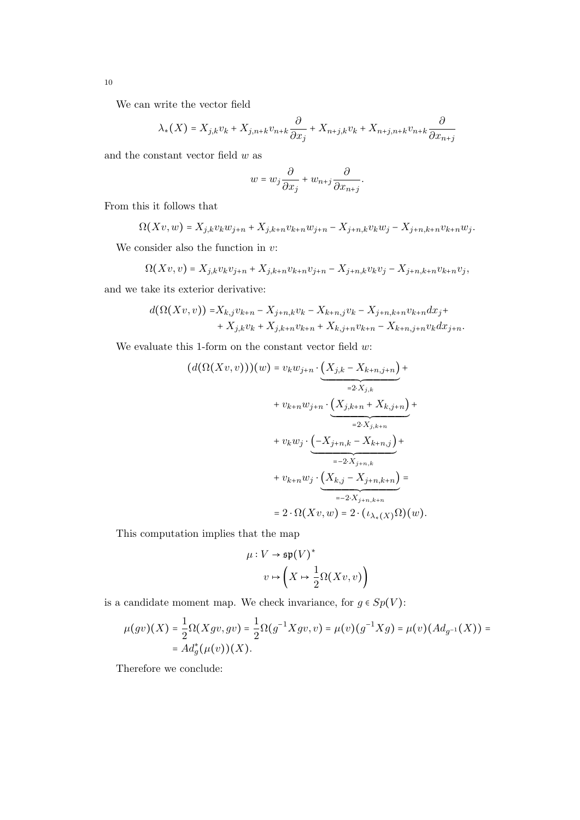We can write the vector field

$$
\lambda_{*}(X) = X_{j,k}v_{k} + X_{j,n+k}v_{n+k}\frac{\partial}{\partial x_{j}} + X_{n+j,k}v_{k} + X_{n+j,n+k}v_{n+k}\frac{\partial}{\partial x_{n+j}}
$$

and the constant vector field  $w$  as

$$
w = w_j \frac{\partial}{\partial x_j} + w_{n+j} \frac{\partial}{\partial x_{n+j}}.
$$

From this it follows that

$$
\Omega(Xv, w) = X_{j,k}v_kw_{j+n} + X_{j,k+n}v_{k+n}w_{j+n} - X_{j+n,k}v_kw_j - X_{j+n,k+n}v_{k+n}w_j.
$$

We consider also the function in  $v$ :

$$
\Omega(Xv, v) = X_{j,k}v_kv_{j+n} + X_{j,k+n}v_{k+n}v_{j+n} - X_{j+n,k}v_kv_j - X_{j+n,k+n}v_{k+n}v_j,
$$

and we take its exterior derivative:

$$
d(\Omega(Xv,v)) = X_{k,j}v_{k+n} - X_{j+n,k}v_k - X_{k+n,j}v_k - X_{j+n,k+n}v_{k+n}dx_j + X_{j,k}v_k + X_{j,k+n}v_{k+n} + X_{k,j+n}v_{k+n} - X_{k+n,j+n}v_kdx_{j+n}.
$$

We evaluate this 1-form on the constant vector field  $w$ :

$$
(d(\Omega(Xv, v)))(w) = v_k w_{j+n} \cdot \underbrace{(X_{j,k} - X_{k+n,j+n})}_{=2 \cdot X_{j,k}} + v_{k+n} w_{j+n} \cdot \underbrace{(X_{j,k+n} + X_{k,j+n})}_{=2 \cdot X_{j,k+n}} + v_k w_j \cdot \underbrace{(-X_{j+n,k} - X_{k+n,j})}_{=-2 \cdot X_{j+n,k}} + v_{k+n} w_j \cdot \underbrace{(X_{k,j} - X_{j+n,k+n})}_{=-2 \cdot X_{j+n,k+n}} = 2 \cdot \Omega(Xv, w) = 2 \cdot (\iota_{\lambda_{*}(X)} \Omega)(w).
$$

This computation implies that the map

$$
\mu: V \to \mathfrak{sp}(V)^*
$$

$$
v \mapsto \left(X \mapsto \frac{1}{2}\Omega(Xv, v)\right)
$$

is a candidate moment map. We check invariance, for  $g\in Sp(V)$  :

$$
\mu(gv)(X) = \frac{1}{2}\Omega(Xgv, gv) = \frac{1}{2}\Omega(g^{-1}Xgv, v) = \mu(v)(g^{-1}Xg) = \mu(v)(Ad_{g^{-1}}(X)) = Ad_g^*(\mu(v))(X).
$$

Therefore we conclude: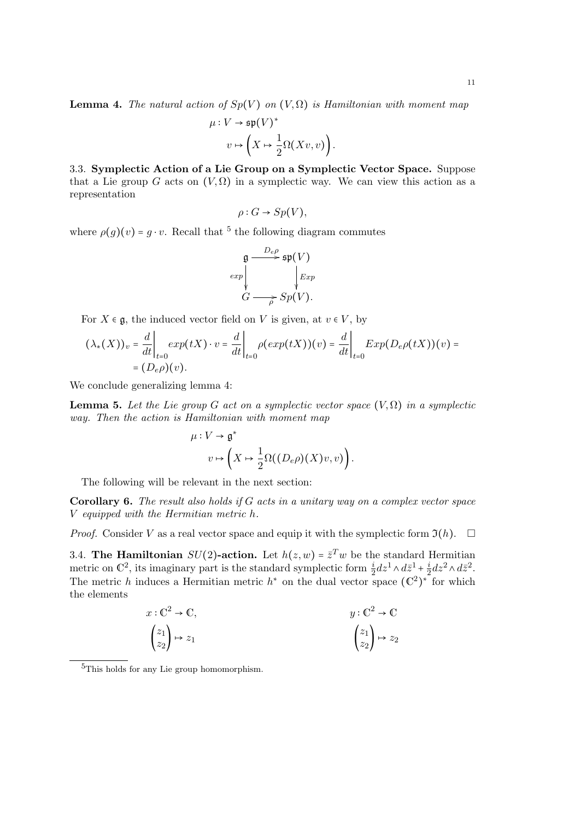$$
\mu: V \to \mathfrak{sp}(V)^* \n v \mapsto \left(X \mapsto \frac{1}{2}\Omega(Xv,v)\right).
$$

3.3. Symplectic Action of a Lie Group on a Symplectic Vector Space. Suppose that a Lie group G acts on  $(V, \Omega)$  in a symplectic way. We can view this action as a representation

$$
\rho: G \to Sp(V),
$$

where  $\rho(g)(v) = g \cdot v$ . Recall that <sup>5</sup> the following diagram commutes

$$
\mathfrak{g} \xrightarrow{D_e \rho} \mathfrak{sp}(V)
$$
  
exp  

$$
\downarrow Exp
$$
  

$$
G \longrightarrow \mathfrak{sp}(V).
$$

For  $X \in \mathfrak{g}$ , the induced vector field on V is given, at  $v \in V$ , by

$$
(\lambda_*(X))_v = \frac{d}{dt}\bigg|_{t=0} exp(tX) \cdot v = \frac{d}{dt}\bigg|_{t=0} \rho(exp(tX))(v) = \frac{d}{dt}\bigg|_{t=0} Exp(D_e\rho(tX))(v) =
$$
  
=  $(D_e\rho)(v).$ 

We conclude generalizing lemma 4:

**Lemma 5.** Let the Lie group G act on a symplectic vector space  $(V, \Omega)$  in a symplectic way. Then the action is Hamiltonian with moment map

$$
\mu: V \to \mathfrak{g}^*
$$

$$
v \mapsto \left(X \mapsto \frac{1}{2}\Omega((D_e \rho)(X)v, v)\right).
$$

The following will be relevant in the next section:

**Corollary 6.** The result also holds if  $G$  acts in a unitary way on a complex vector space V equipped with the Hermitian metric h.

*Proof.* Consider V as a real vector space and equip it with the symplectic form  $\mathfrak{I}(h)$ .  $\Box$ 

3.4. The Hamiltonian  $SU(2)$ -action. Let  $h(z, w) = \overline{z}^T w$  be the standard Hermitian metric on  $C^2$  its imaginary part is the standard symplectic form  $i d\mu$ ,  $d\overline{z}$ ,  $i d\overline{z}$ ,  $d\overline{z}$ metric on  $\mathbb{C}^2$ , its imaginary part is the standard symplectic form  $\frac{i}{2}dz^1 \wedge d\bar{z}^1 + \frac{i}{2}$  $\frac{i}{2}dz^2 \wedge d\bar{z}^2.$ The metric h induces a Hermitian metric  $h^*$  on the dual vector space ( $\mathbb{C}^2$ ) ∗ for which the elements

$$
x: \mathbb{C}^2 \to \mathbb{C},
$$
  
\n
$$
\begin{pmatrix} z_1 \\ z_2 \end{pmatrix} \mapsto z_1
$$
  
\n
$$
y: \mathbb{C}^2 \to \mathbb{C}
$$
  
\n
$$
\begin{pmatrix} z_1 \\ z_2 \end{pmatrix} \mapsto z_2
$$

<sup>&</sup>lt;sup>5</sup>This holds for any Lie group homomorphism.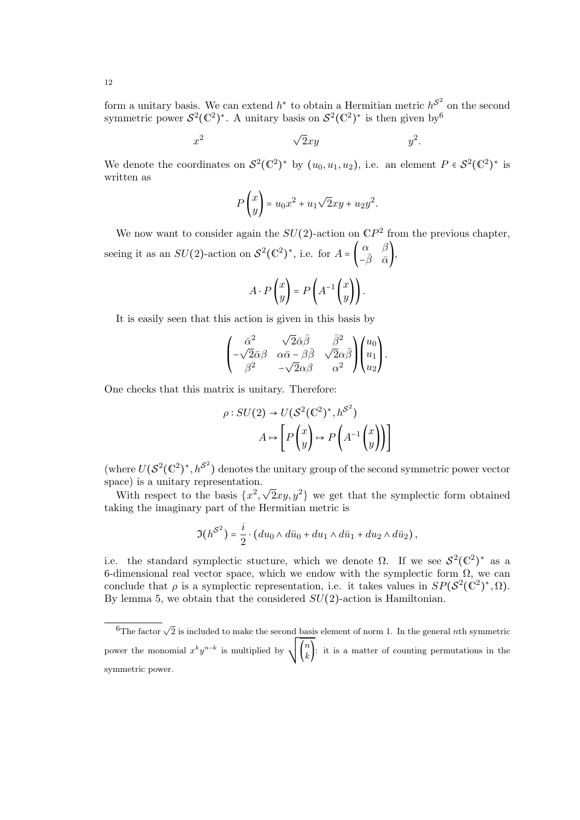form a unitary basis. We can extend  $h^*$  to obtain a Hermitian metric  $h^{\mathcal{S}^2}$  on the second symmetric power  $S^2(\mathbb{C}^2)$ )<sup>\*</sup>. A unitary basis on  $S^2(\mathbb{C}^2)$  $)$ <sup>\*</sup> is then given by<sup>6</sup>

$$
x^2 \qquad \qquad \sqrt{2}xy \qquad \qquad y^2.
$$

We denote the coordinates on  $S^2(\mathbb{C}^2)$ )<sup>\*</sup> by  $(u_0, u_1, u_2)$ , i.e. an element  $P \in \mathcal{S}^2(\mathbb{C}^2)$  $)$ <sup>\*</sup> is written as

$$
P\begin{pmatrix} x \\ y \end{pmatrix} = u_0 x^2 + u_1 \sqrt{2}xy + u_2 y^2.
$$

We now want to consider again the  $SU(2)$ -action on  $\mathbb{C}P^2$  from the previous chapter, seeing it as an  $SU(2)$ -action on  $S^2(\mathbb{C}^2)$ )\*, i.e. for  $A = \begin{pmatrix} \alpha & \beta \\ -\overline{\beta} & \overline{\alpha} \end{pmatrix}$  $\left( \begin{array}{cc} \alpha & \beta \\ -\bar{\beta} & \bar{\alpha} \end{array} \right)$ 

$$
A \cdot P\begin{pmatrix} x \\ y \end{pmatrix} = P\begin{pmatrix} A^{-1} \begin{pmatrix} x \\ y \end{pmatrix} \end{pmatrix}.
$$

It is easily seen that this action is given in this basis by

$$
\begin{pmatrix}\n\bar{\alpha}^2 & \sqrt{2}\bar{\alpha}\bar{\beta} & \bar{\beta}^2 \\
-\sqrt{2}\bar{\alpha}\beta & \alpha\bar{\alpha}-\beta\bar{\beta} & \sqrt{2}\alpha\bar{\beta} \\
\beta^2 & -\sqrt{2}\alpha\beta & \alpha^2\n\end{pmatrix}\n\begin{pmatrix}\nu_0 \\
u_1 \\
u_2\n\end{pmatrix}.
$$

One checks that this matrix is unitary. Therefore:

$$
\rho: SU(2) \to U(\mathcal{S}^2(\mathbb{C}^2)^*, h^{\mathcal{S}^2})
$$

$$
A \mapsto \left[ P\left(\begin{matrix} x \\ y \end{matrix}\right) \mapsto P\left(A^{-1}\left(\begin{matrix} x \\ y \end{matrix}\right) \right) \right]
$$

(where  $U(S^2(\mathbb{C}^2)^*, h^{S^2})$  denotes the unitary group of the second symmetric power vector (where  $\sigma(\sigma(\sigma), \mu)$  denotes in space) is a unitary representation.

With respect to the basis  $\{x^2, \sqrt{2}xy, y^2\}$  we get that the symplectic form obtained taking the imaginary part of the Hermitian metric is

$$
\mathfrak{I}(h^{\mathcal{S}^2}) = \frac{i}{2} \cdot (du_0 \wedge d\bar{u}_0 + du_1 \wedge d\bar{u}_1 + du_2 \wedge d\bar{u}_2),
$$

i.e. the standard symplectic stucture, which we denote  $\Omega$ . If we see  $S^2(\mathbb{C}^2)^*$  as a 6-dimensional real vector space, which we endow with the symplectic form  $\Omega$ , we can conclude that  $\rho$  is a symplectic representation, i.e. it takes values in  $SP(S^2(\mathbb{C}^2))$  $)^{\ast}, \Omega).$ By lemma 5, we obtain that the considered  $SU(2)$ -action is Hamiltonian.

 $\overline{6}$ The factor  $\sqrt{2}$  is included to make the second basis element of norm 1. In the general nth symmetric The ractor  $\sqrt{2}$  is incruded to make the second base.  $\binom{n}{k}$ : it is a matter of counting permutations in the symmetric power.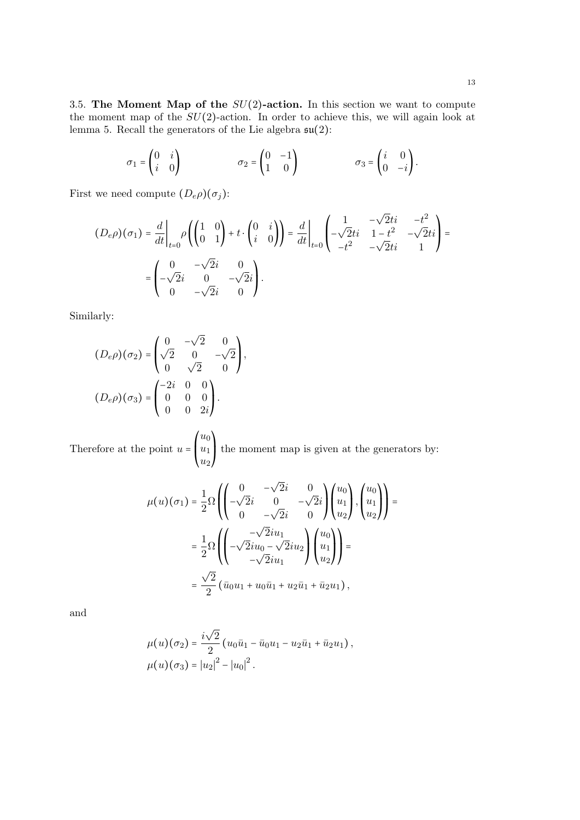3.5. The Moment Map of the  $SU(2)$ -action. In this section we want to compute the moment map of the  $SU(2)$ -action. In order to achieve this, we will again look at lemma 5. Recall the generators of the Lie algebra  $\mathfrak{su}(2)$ :

$$
\sigma_1 = \begin{pmatrix} 0 & i \\ i & 0 \end{pmatrix} \qquad \qquad \sigma_2 = \begin{pmatrix} 0 & -1 \\ 1 & 0 \end{pmatrix} \qquad \qquad \sigma_3 = \begin{pmatrix} i & 0 \\ 0 & -i \end{pmatrix}.
$$

First we need compute  $(D_e \rho)(\sigma_j)$ :

$$
(D_e \rho)(\sigma_1) = \frac{d}{dt}\bigg|_{t=0} \rho\left(\begin{pmatrix} 1 & 0 \\ 0 & 1 \end{pmatrix} + t \cdot \begin{pmatrix} 0 & i \\ i & 0 \end{pmatrix}\right) = \frac{d}{dt}\bigg|_{t=0} \begin{pmatrix} 1 & -\sqrt{2}ti & -t^2 \\ -\sqrt{2}ti & 1 - t^2 & -\sqrt{2}ti \\ -t^2 & -\sqrt{2}ti & 1 \end{pmatrix} = \begin{pmatrix} 0 & -\sqrt{2}i & 0 \\ -\sqrt{2}i & 0 & -\sqrt{2}i \\ 0 & -\sqrt{2}i & 0 \end{pmatrix}.
$$

Similarly:

$$
(D_e \rho)(\sigma_2) = \begin{pmatrix} 0 & -\sqrt{2} & 0 \\ \sqrt{2} & 0 & -\sqrt{2} \\ 0 & \sqrt{2} & 0 \end{pmatrix},
$$

$$
(D_e \rho)(\sigma_3) = \begin{pmatrix} -2i & 0 & 0 \\ 0 & 0 & 0 \\ 0 & 0 & 2i \end{pmatrix}.
$$

Therefore at the point  $u =$  $\mathsf I$  $\overline{\phantom{a}}$  $u_0$  $u_1$  $u_2$  $\mathbf{I}$  $\overline{ }$ ⎠ the moment map is given at the generators by:

$$
\mu(u)(\sigma_1) = \frac{1}{2}\Omega\left(\begin{pmatrix} 0 & -\sqrt{2}i & 0 \\ -\sqrt{2}i & 0 & -\sqrt{2}i \\ 0 & -\sqrt{2}i & 0 \end{pmatrix} \begin{pmatrix} u_0 \\ u_1 \\ u_2 \end{pmatrix}, \begin{pmatrix} u_0 \\ u_1 \\ u_2 \end{pmatrix}\right) =
$$

$$
= \frac{1}{2}\Omega\left(\begin{pmatrix} -\sqrt{2}iu_1 \\ -\sqrt{2}iu_0 - \sqrt{2}iu_2 \\ -\sqrt{2}iu_1 \end{pmatrix} \begin{pmatrix} u_0 \\ u_1 \\ u_2 \end{pmatrix}\right) =
$$

$$
= \frac{\sqrt{2}}{2} (\bar{u}_0u_1 + u_0\bar{u}_1 + u_2\bar{u}_1 + \bar{u}_2u_1),
$$

and

$$
\mu(u)(\sigma_2) = \frac{i\sqrt{2}}{2} (u_0\bar{u}_1 - \bar{u}_0u_1 - u_2\bar{u}_1 + \bar{u}_2u_1),
$$
  

$$
\mu(u)(\sigma_3) = |u_2|^2 - |u_0|^2.
$$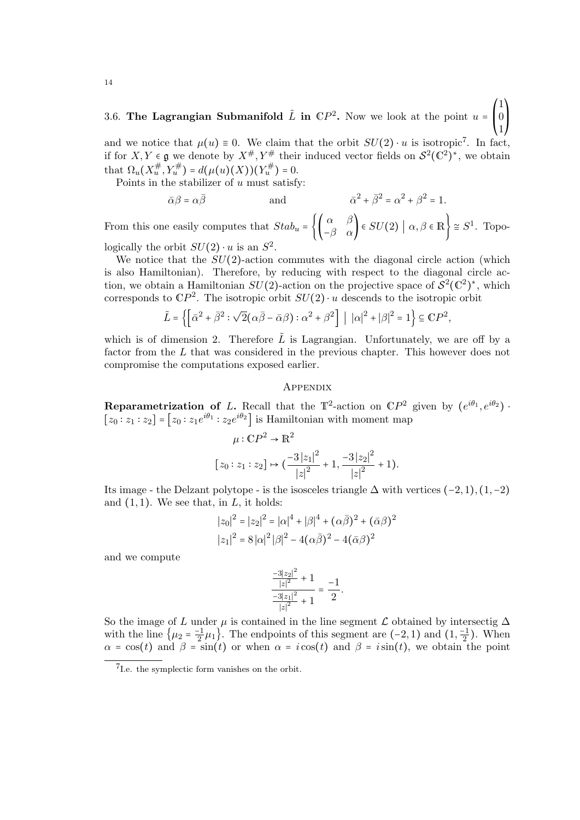#### 3.6. The Lagrangian Submanifold  $\tilde{L}$  in  $\mathbb{C}P^2$ . Now we look at the point  $u = \begin{bmatrix} 1 & 0 & 0 \\ 0 & 1 & 0 \\ 0 & 0 & 0 \end{bmatrix}$  $\mathsf I$ 1 0 1 ⎞ ⎟

and we notice that  $\mu(u) \equiv 0$ . We claim that the orbit  $SU(2) \cdot u$  is isotropic<sup>7</sup>. In fact, if for  $X, Y \in \mathfrak{g}$  we denote by  $X^{\#}, Y^{\#}$  their induced vector fields on  $\mathcal{S}^2(\mathbb{C}^2)$ ) ∗ , we obtain that  $\Omega_u(X_u^{\#}, Y_u^{\#}) = d(\mu(u)(X))(Y_u^{\#}) = 0.$ <br>Deinta in the stabilism of a must estimate

Points in the stabilizer of  $u$  must satisfy:

$$
\bar{\alpha}\beta = \alpha\bar{\beta} \qquad \text{and} \qquad \bar{\alpha}^2 + \bar{\beta}^2 = \alpha^2 + \beta^2 = 1.
$$

From this one easily computes that  $Stab_u = \left\{ \begin{pmatrix} \alpha & \beta \\ -\beta & \alpha \end{pmatrix} \in SU(2) \mid \alpha, \beta \in \mathbb{R} \right\} \cong S^1$ . Topologically the orbit  $SU(2) \cdot u$  is an  $S^2$ .<br>We potice that the  $SU(2)$  estimates

We notice that the  $SU(2)$ -action commutes with the diagonal circle action (which is also Hamiltonian). Therefore, by reducing with respect to the diagonal circle action, we obtain a Hamiltonian  $SU(2)$ -action on the projective space of  $S^2(\mathbb{C}^2)^*$ , which corresponds to  $\mathbb{C}P^2$ . The isotropic orbit  $SU(2) \cdot u$  descends to the isotropic orbit  $SU(2) \cdot u$ 

$$
\tilde{L} = \left\{ \left[ \bar{\alpha}^2 + \bar{\beta}^2 : \sqrt{2} (\alpha \bar{\beta} - \bar{\alpha} \beta) : \alpha^2 + \beta^2 \right] \mid |\alpha|^2 + |\beta|^2 = 1 \right\} \subseteq \mathbb{C}P^2,
$$

which is of dimension 2. Therefore  $\tilde{L}$  is Lagrangian. Unfortunately, we are off by a factor from the L that was considered in the previous chapter. This however does not compromise the computations exposed earlier.

# **APPENDIX**

**Reparametrization of** L. Recall that the  $\mathbb{T}^2$ -action on  $\mathbb{C}P^2$  given by  $(e^{i\theta_1}, e^{i\theta_2})$ .  $[z_0 : z_1 : z_2] = [z_0 : z_1 e^{i\theta_1} : z_2 e^{i\theta_2}]$  is Hamiltonian with moment map

$$
\mu: \mathbb{C}P^2 \to \mathbb{R}^2
$$
  

$$
[z_0:z_1:z_2] \mapsto \left(\frac{-3|z_1|^2}{|z|^2} + 1, \frac{-3|z_2|^2}{|z|^2} + 1\right).
$$

Its image - the Delzant polytope - is the isosceles triangle  $\Delta$  with vertices  $(-2, 1), (1, -2)$ and  $(1, 1)$ . We see that, in L, it holds:

$$
|z_0|^2 = |z_2|^2 = |\alpha|^4 + |\beta|^4 + (\alpha \bar{\beta})^2 + (\bar{\alpha}\beta)^2
$$
  

$$
|z_1|^2 = 8 |\alpha|^2 |\beta|^2 - 4(\alpha \bar{\beta})^2 - 4(\bar{\alpha}\beta)^2
$$

and we compute

$$
\frac{\frac{-3|z_2|^2}{|z|^2}+1}{\frac{-3|z_1|^2}{|z|^2}+1}=\frac{-1}{2}.
$$

So the image of L under  $\mu$  is contained in the line segment L obtained by intersectig  $\Delta$ with the line  $\{\mu_2 = \frac{-1}{2}\mu_1\}$ . The endpoints of this segment are  $(-2, 1)$  and  $(1, \frac{-1}{2})$ . When  $\alpha = \cos(t)$  and  $\beta = \sin(t)$  or when  $\alpha = i \cos(t)$  and  $\beta = i \sin(t)$ , we obtain the point

<sup>7</sup> I.e. the symplectic form vanishes on the orbit.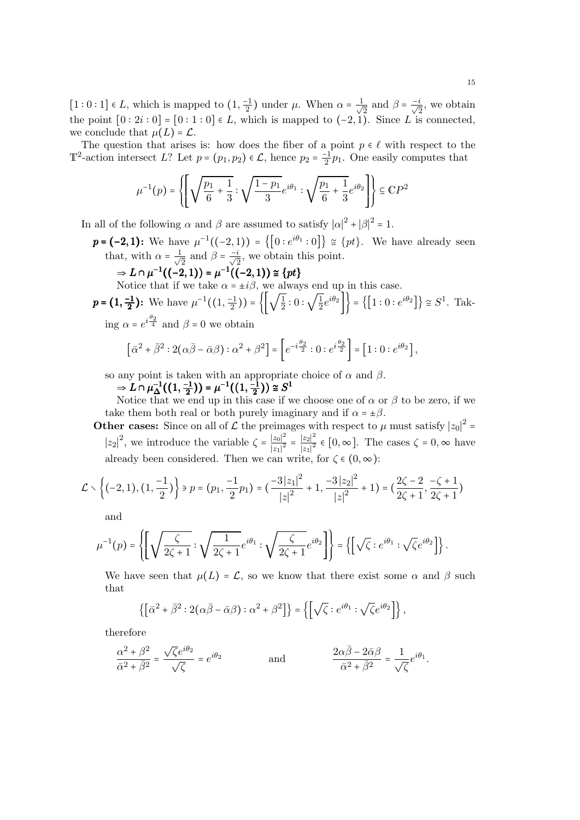[1 : 0 : 1] ∈ L, which is mapped to  $(1, \frac{-1}{2})$  under μ. When  $\alpha = \frac{1}{\sqrt{2}}$  $\frac{1}{2}$  and  $\beta = \frac{-i}{\sqrt{2}}$ , we obtain the point  $[0:2i:0] = [0:1:0] \in L$ , which is mapped to  $(-2,1)$ . Since L is connected, we conclude that  $\mu(L) = \mathcal{L}$ .

The question that arises is: how does the fiber of a point  $p \in \ell$  with respect to the  $\mathbb{T}^2$ -action intersect L? Let  $p = (p_1, p_2) \in \mathcal{L}$ , hence  $p_2 = \frac{-1}{2}p_1$ . One easily computes that

$$
\mu^{-1}(p) = \left\{ \left[ \sqrt{\frac{p_1}{6} + \frac{1}{3}} : \sqrt{\frac{1 - p_1}{3}} e^{i\theta_1} : \sqrt{\frac{p_1}{6} + \frac{1}{3}} e^{i\theta_2} \right] \right\} \subseteq \mathbb{C}P^2
$$

In all of the following  $\alpha$  and  $\beta$  are assumed to satisfy  $|\alpha|^2 + |\beta|^2 = 1$ .

 $p = (-2, 1)$ : We have  $\mu^{-1}((-2, 1)) = \{ [0 : e^{i\theta_1} : 0] \} \cong \{ pt \}$ . We have already seen that, with  $\alpha = \frac{1}{\sqrt{2}}$  $\frac{1}{2}$  and  $\beta = \frac{-i}{\sqrt{2}}$ , we obtain this point.

$$
\Rightarrow L \cap \mu^{-1}((-2,1)) = \mu^{-1}((-2,1)) \cong \{pt\}
$$

 $\Rightarrow L \cap \mu^{-1}((-2,1)) = \mu^{-1}((-2,1)) \cong \{pt\}$ <br>Notice that if we take  $\alpha = \pm i\beta$ , we always end up in this case.

$$
\mathbf{p} = \left(1, \frac{-1}{2}\right): \text{ We have } \mu^{-1}\left(\left(1, \frac{-1}{2}\right)\right) = \left\{ \left[\sqrt{\frac{1}{2}} : 0 : \sqrt{\frac{1}{2}} e^{i\theta_2} \right] \right\} = \left\{ \left[1 : 0 : e^{i\theta_2} \right] \right\} \cong S^1. \text{ Take}
$$

ing  $\alpha = e^{i\frac{\theta_2}{4}}$  and  $\beta = 0$  we obtain

$$
\left[\bar{\alpha}^2 + \bar{\beta}^2 : 2(\alpha\bar{\beta} - \bar{\alpha}\beta) : \alpha^2 + \beta^2\right] = \left[e^{-i\frac{\theta_2}{2}} : 0 : e^{i\frac{\theta_2}{2}}\right] = \left[1 : 0 : e^{i\theta_2}\right],
$$

so any point is taken with an appropriate choice of  $\alpha$  and  $\beta$ .

$$
\Rightarrow L \cap \mu_{\Delta}^{-1}((1, \frac{-1}{2})) = \mu^{-1}((1, \frac{-1}{2})) \cong S^1
$$

 $\Rightarrow L \cap \mu_{\Delta}^{-1}((1, \frac{-1}{2})) = \mu^{-1}((1, \frac{-1}{2})) \cong S^1$ <br>Notice that we end up in this case if we choose one of  $\alpha$  or  $\beta$  to be zero, if we take them both real or both purely imaginary and if  $\alpha = \pm \beta$ .

**Other cases:** Since on all of  $\mathcal{L}$  the preimages with respect to  $\mu$  must satisfy  $|z_0|^2$  $|z_2|^2$ , we introduce the variable  $\zeta = \frac{|z_0|^2}{|z_1|^2}$  $\overline{|z_1|^2}$  –  $\frac{|z_2|^2}{2}$  $\frac{|z_2|}{|z_1|^2}$  ∈ [0, ∞]. The cases  $\zeta = 0$ , ∞ have already been considered. Then we can write, for  $\zeta \in (0, \infty)$ :

$$
\mathcal{L} \setminus \left\{ (-2,1), (1, \frac{-1}{2}) \right\} \ni p = (p_1, \frac{-1}{2}p_1) = \left( \frac{-3|z_1|^2}{|z|^2} + 1, \frac{-3|z_2|^2}{|z|^2} + 1 \right) = \left( \frac{2\zeta - 2}{2\zeta + 1}, \frac{-\zeta + 1}{2\zeta + 1} \right)
$$

and

$$
\mu^{-1}(p) = \left\{ \left[ \sqrt{\frac{\zeta}{2\zeta + 1}} : \sqrt{\frac{1}{2\zeta + 1}} e^{i\theta_1} : \sqrt{\frac{\zeta}{2\zeta + 1}} e^{i\theta_2} \right] \right\} = \left\{ \left[ \sqrt{\zeta} : e^{i\theta_1} : \sqrt{\zeta} e^{i\theta_2} \right] \right\}.
$$

We have seen that  $\mu(L) = \mathcal{L}$ , so we know that there exist some  $\alpha$  and  $\beta$  such that

$$
\left\{ \left[ \bar{\alpha}^2 + \bar{\beta}^2 : 2(\alpha \bar{\beta} - \bar{\alpha} \beta) : \alpha^2 + \beta^2 \right] \right\} = \left\{ \left[ \sqrt{\zeta} : e^{i\theta_1} : \sqrt{\zeta} e^{i\theta_2} \right] \right\},\
$$

therefore

$$
\frac{\alpha^2 + \beta^2}{\bar{\alpha}^2 + \bar{\beta}^2} = \frac{\sqrt{\zeta}e^{i\theta_2}}{\sqrt{\zeta}} = e^{i\theta_2}
$$
 and 
$$
\frac{2\alpha\bar{\beta} - 2\bar{\alpha}\beta}{\bar{\alpha}^2 + \bar{\beta}^2} = \frac{1}{\sqrt{\zeta}}e^{i\theta_1}.
$$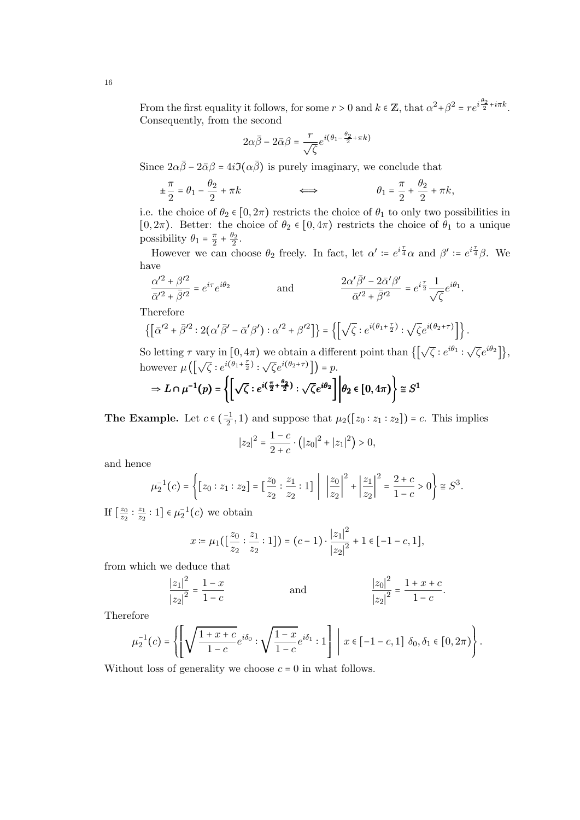From the first equality it follows, for some  $r > 0$  and  $k \in \mathbb{Z}$ , that  $\alpha^2 + \beta^2 = re^{i\frac{\theta_2}{2} + i\pi k}$ . Consequently, from the second

$$
2\alpha\bar{\beta} - 2\bar{\alpha}\beta = \frac{r}{\sqrt{\zeta}}e^{i(\theta_1 - \frac{\theta_2}{2} + \pi k)}
$$

Since  $2\alpha\bar{\beta} - 2\bar{\alpha}\beta = 4i\mathfrak{I}(\alpha\bar{\beta})$  is purely imaginary, we conclude that

$$
\pm \frac{\pi}{2} = \theta_1 - \frac{\theta_2}{2} + \pi k \qquad \Longleftrightarrow \qquad \theta_1 = \frac{\pi}{2} + \frac{\theta_2}{2} + \pi k,
$$

i.e. the choice of  $\theta_2 \in [0, 2\pi)$  restricts the choice of  $\theta_1$  to only two possibilities in [0, 2 $\pi$ ). Better: the choice of  $\theta_2 \in [0, 4\pi)$  restricts the choice of  $\theta_1$  to a unique possibility  $\theta_1 = \frac{\pi}{2} + \frac{\theta_2}{2}$ .  $2^{\circ}$   $2^{\circ}$ 

However we can choose  $\theta_2$  freely. In fact, let  $\alpha' \coloneqq e^{i\frac{\tau}{4}}\alpha$  and  $\beta' \coloneqq e^{i\frac{\tau}{4}}\beta$ . We have

$$
\frac{\alpha'^2+\beta'^2}{\bar{\alpha}'^2+\bar{\beta}'^2}=e^{i\tau}e^{i\theta_2}\hspace{1cm}\text{and}\hspace{1cm}\frac{2\alpha'\bar{\beta}'-2\bar{\alpha}'\beta'}{\bar{\alpha}'^2+\bar{\beta}'^2}=e^{i\frac{\tau}{2}}\frac{1}{\sqrt{\zeta}}e^{i\theta_1}.
$$

Therefore

$$
\left\{\left[\bar{\alpha}'^2+\bar{\beta}'^2:2(\alpha'\bar{\beta}'-\bar{\alpha}'\beta'): \alpha'^2+\beta'^2\right]\right\}=\left\{\left[\sqrt{\zeta}:e^{i(\theta_1+\frac{\tau}{2})}: \sqrt{\zeta}e^{i(\theta_2+\tau)}\right]\right\}.
$$

So letting  $\tau$  vary in  $[0, 4\pi)$  we obtain a different point than  $\{[\sqrt{\zeta}: e^{i\theta_1} : \sqrt{\zeta}e^{i\theta_2}]\},$ however  $\mu\left(\left[\sqrt{\zeta}:e^{i(\theta_1+\frac{\tau}{2})}: \sqrt{\zeta}e^{i(\theta_2+\tau)}\right]\right)=p.$ 

$$
\Rightarrow L \cap \mu^{-1}(p) = \left\{ \left[ \sqrt{\zeta} : e^{i(\frac{\pi}{2} + \frac{\theta_2}{2})} : \sqrt{\zeta} e^{i\theta_2} \right] \middle| \theta_2 \in [0, 4\pi) \right\} \cong S^1
$$

**The Example.** Let  $c \in (\frac{-1}{2}, 1)$  and suppose that  $\mu_2([z_0 : z_1 : z_2]) = c$ . This implies

$$
|z_2|^2 = \frac{1-c}{2+c} \cdot (|z_0|^2 + |z_1|^2) > 0,
$$

and hence

$$
\mu_2^{-1}(c) = \left\{ [z_0 : z_1 : z_2] = \left[\frac{z_0}{z_2} : \frac{z_1}{z_2} : 1\right] \middle| \left|\frac{z_0}{z_2}\right|^2 + \left|\frac{z_1}{z_2}\right|^2 = \frac{2+c}{1-c} > 0 \right\} \cong S^3.
$$

If  $\left[\frac{z_0}{z_2}\right]$  $\overline{z_2}$  .  $\overline{z_1}$  $\frac{z_1}{z_2}:1$   $\in \mu_2^{-1}(c)$  we obtain

$$
x := \mu_1\left(\left[\frac{z_0}{z_2} : \frac{z_1}{z_2} : 1\right]\right) = (c-1) \cdot \frac{|z_1|^2}{|z_2|^2} + 1 \in [-1-c, 1],
$$

from which we deduce that

$$
\frac{|z_1|^2}{|z_2|^2} = \frac{1-x}{1-c}
$$
 and 
$$
\frac{|z_0|^2}{|z_2|^2} = \frac{1+x+c}{1-c}.
$$

Therefore

$$
\mu_2^{-1}(c) = \left\{ \left[ \sqrt{\frac{1+x+c}{1-c}} e^{i\delta_0} : \sqrt{\frac{1-x}{1-c}} e^{i\delta_1} : 1 \right] \middle| x \in [-1-c,1] \delta_0, \delta_1 \in [0,2\pi) \right\}.
$$
  
Without loss of generality we choose  $c = 0$  in what follows.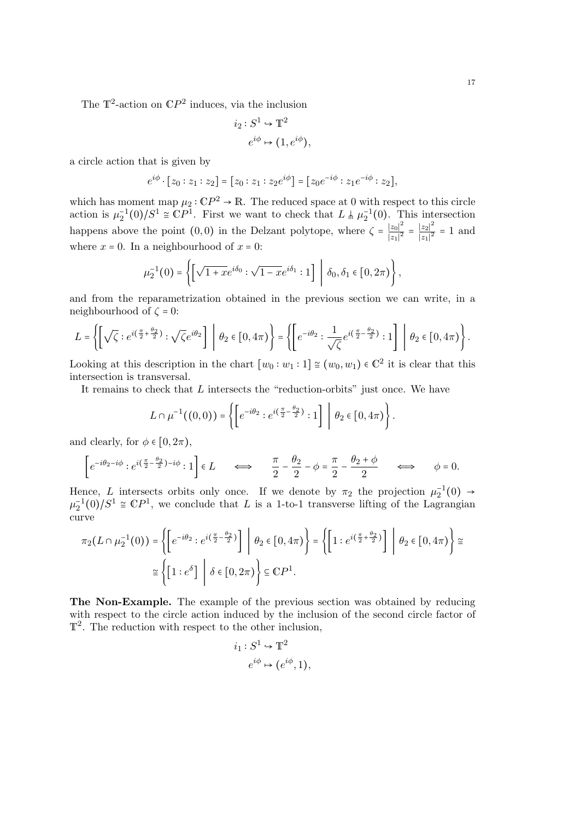The  $\mathbb{T}^2$ -action on  $\mathbb{C}P^2$  induces, via the inclusion

$$
i_2: S^1 \hookrightarrow \mathbb{T}^2
$$

$$
e^{i\phi} \mapsto (1, e^{i\phi}),
$$

a circle action that is given by

$$
e^{i\phi} \cdot [z_0 : z_1 : z_2] = [z_0 : z_1 : z_2 e^{i\phi}] = [z_0 e^{-i\phi} : z_1 e^{-i\phi} : z_2],
$$

which has moment map  $\mu_2 : \mathbb{C}P^2 \to \mathbb{R}$ . The reduced space at 0 with respect to this circle action is  $\mu_2^{-1}(0)/S^1 \cong \mathbb{C}P^1$ . First we want to check that  $L \nmid \mu_2^{-1}(0)$ . This intersection happens above the point  $(0,0)$  in the Delzant polytope, where  $\zeta = \frac{|z_0|^2}{|z_1|^2}$  $|\overline{z_1}|^2$  –  $|z_2|^2$  $\frac{|z_2|}{|z_1|^2} = 1$  and where  $x = 0$ . In a neighbourhood of  $x = 0$ :

$$
\mu_2^{-1}(0) = \left\{ \left[ \sqrt{1 + xe^{i\delta_0}} : \sqrt{1 - xe^{i\delta_1}} : 1 \right] \middle| \delta_0, \delta_1 \in [0, 2\pi) \right\},\
$$

and from the reparametrization obtained in the previous section we can write, in a neighbourhood of  $\zeta = 0$ :

$$
L = \left\{ \left[ \sqrt{\zeta} : e^{i\left(\frac{\pi}{2} + \frac{\theta_2}{2}\right)} : \sqrt{\zeta} e^{i\theta_2} \right] \middle| \theta_2 \in [0, 4\pi) \right\} = \left\{ \left[ e^{-i\theta_2} : \frac{1}{\sqrt{\zeta}} e^{i\left(\frac{\pi}{2} - \frac{\theta_2}{2}\right)} : 1 \right] \middle| \theta_2 \in [0, 4\pi) \right\}.
$$

Looking at this description in the chart  $[w_0 : w_1 : 1] \cong (w_0, w_1) \in \mathbb{C}^2$  it is clear that this intersection is transversal.

It remains to check that L intersects the "reduction-orbits" just once. We have

$$
L \cap \mu^{-1}((0,0)) = \left\{ \left[ e^{-i\theta_2} : e^{i\left(\frac{\pi}{2} - \frac{\theta_2}{2}\right)} : 1 \right] \middle| \theta_2 \in [0, 4\pi) \right\}.
$$

and clearly, for  $\phi \in [0, 2\pi)$ ,

$$
\left[e^{-i\theta_2 - i\phi} : e^{i(\frac{\pi}{2} - \frac{\theta_2}{2}) - i\phi} : 1\right] \in L \qquad \Longleftrightarrow \qquad \frac{\pi}{2} - \frac{\theta_2}{2} - \phi = \frac{\pi}{2} - \frac{\theta_2 + \phi}{2} \qquad \Longleftrightarrow \qquad \phi = 0.
$$

Hence, L intersects orbits only once. If we denote by  $\pi_2$  the projection  $\mu_2^{-1}(0) \rightarrow \mu_2^{-1}(0)/S^1 \cong \mathbb{C}P^1$ , we conclude that L is a 1-to-1 transverse lifting of the Lagrangian curve

$$
\pi_2(L \cap \mu_2^{-1}(0)) = \left\{ \left[ e^{-i\theta_2} : e^{i\left(\frac{\pi}{2} - \frac{\theta_2}{2}\right)} \right] \middle| \theta_2 \in [0, 4\pi) \right\} = \left\{ \left[ 1 : e^{i\left(\frac{\pi}{2} + \frac{\theta_2}{2}\right)} \right] \middle| \theta_2 \in [0, 4\pi) \right\} \cong
$$

$$
\cong \left\{ \left[ 1 : e^{\delta} \right] \middle| \delta \in [0, 2\pi) \right\} \subseteq \mathbb{C}P^1.
$$

The Non-Example. The example of the previous section was obtained by reducing with respect to the circle action induced by the inclusion of the second circle factor of  $\mathbb{T}^2$ . The reduction with respect to the other inclusion,

$$
i_1: S^1 \hookrightarrow \mathbb{T}^2
$$

$$
e^{i\phi} \mapsto (e^{i\phi}, 1),
$$